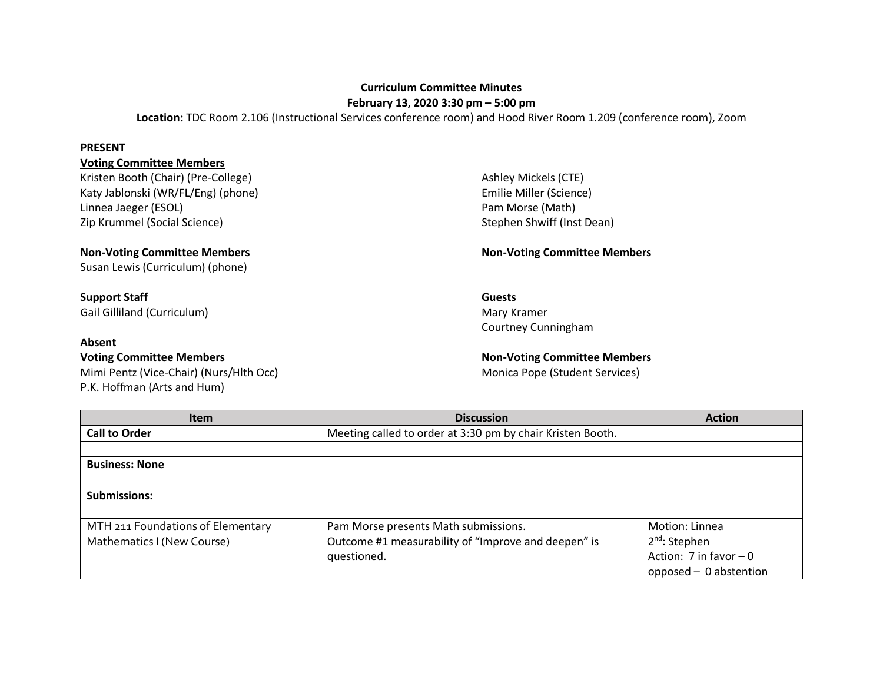# **Curriculum Committee Minutes**

**February 13, 2020 3:30 pm – 5:00 pm**

**Location:** TDC Room 2.106 (Instructional Services conference room) and Hood River Room 1.209 (conference room), Zoom

### **PRESENT**

## **Voting Committee Members**

Kristen Booth (Chair) (Pre-College) Ashley Mickels (CTE) Ashley Mickels (CTE) Katy Jablonski (WR/FL/Eng) (phone) and the milie Miller (Science) Emilie Miller (Science) Linnea Jaeger (ESOL) **Pam Morse (Math)** Zip Krummel (Social Science) Stephen Shwiff (Inst Dean)

Susan Lewis (Curriculum) (phone)

# **Support Staff Guests**

Gail Gilliland (Curriculum) and Communication of the Mary Kramer Mary Kramer

### **Absent**

Mimi Pentz (Vice-Chair) (Nurs/Hlth Occ) Mimi Pentz (Vice-Chair) (Nurs/Hlth Occ) P.K. Hoffman (Arts and Hum)

## **Non-Voting Committee Members Non-Voting Committee Members**

Courtney Cunningham

**Voting Committee Members Non-Voting Committee Members** 

| <b>Item</b>                       | <b>Discussion</b>                                          | <b>Action</b>           |
|-----------------------------------|------------------------------------------------------------|-------------------------|
| <b>Call to Order</b>              | Meeting called to order at 3:30 pm by chair Kristen Booth. |                         |
|                                   |                                                            |                         |
| <b>Business: None</b>             |                                                            |                         |
|                                   |                                                            |                         |
| <b>Submissions:</b>               |                                                            |                         |
|                                   |                                                            |                         |
| MTH 211 Foundations of Elementary | Pam Morse presents Math submissions.                       | Motion: Linnea          |
| Mathematics I (New Course)        | Outcome #1 measurability of "Improve and deepen" is        | $2^{nd}$ : Stephen      |
|                                   | questioned.                                                | Action: 7 in favor $-0$ |
|                                   |                                                            | opposed - 0 abstention  |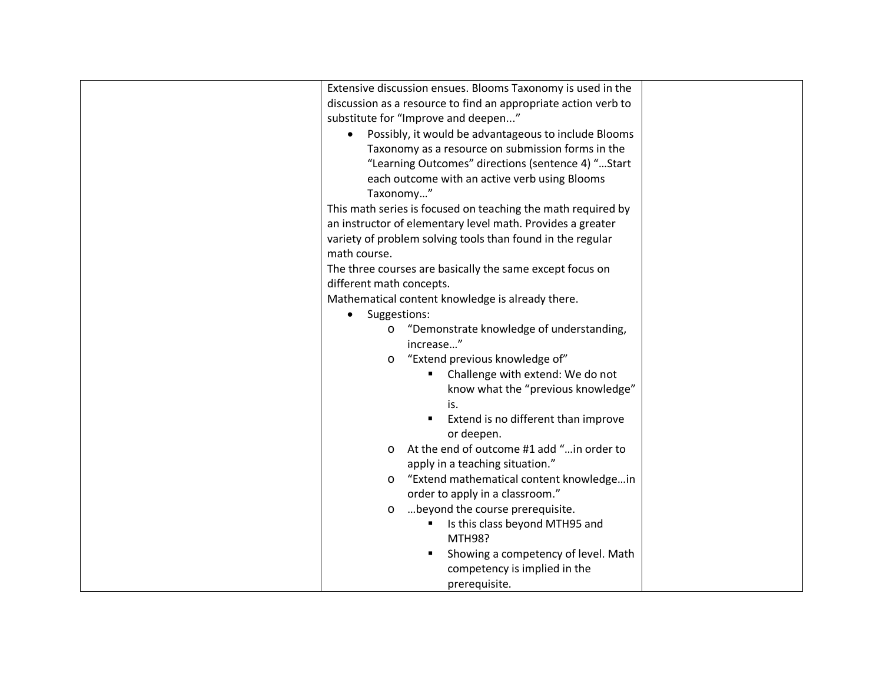| Extensive discussion ensues. Blooms Taxonomy is used in the    |  |
|----------------------------------------------------------------|--|
| discussion as a resource to find an appropriate action verb to |  |
| substitute for "Improve and deepen"                            |  |
| Possibly, it would be advantageous to include Blooms           |  |
| Taxonomy as a resource on submission forms in the              |  |
| "Learning Outcomes" directions (sentence 4) " Start            |  |
| each outcome with an active verb using Blooms                  |  |
| Taxonomy"                                                      |  |
| This math series is focused on teaching the math required by   |  |
| an instructor of elementary level math. Provides a greater     |  |
| variety of problem solving tools than found in the regular     |  |
| math course.                                                   |  |
| The three courses are basically the same except focus on       |  |
| different math concepts.                                       |  |
| Mathematical content knowledge is already there.               |  |
| Suggestions:                                                   |  |
| "Demonstrate knowledge of understanding,<br>$\circ$            |  |
| increase"                                                      |  |
| "Extend previous knowledge of"<br>$\circ$                      |  |
| Challenge with extend: We do not                               |  |
| know what the "previous knowledge"                             |  |
| is.                                                            |  |
| Extend is no different than improve<br>٠                       |  |
| or deepen.                                                     |  |
| At the end of outcome #1 add " in order to<br>$\circ$          |  |
| apply in a teaching situation."                                |  |
| "Extend mathematical content knowledgein<br>$\circ$            |  |
| order to apply in a classroom."                                |  |
| beyond the course prerequisite.<br>$\circ$                     |  |
| Is this class beyond MTH95 and                                 |  |
| MTH98?                                                         |  |
| Showing a competency of level. Math                            |  |
| competency is implied in the                                   |  |
| prerequisite.                                                  |  |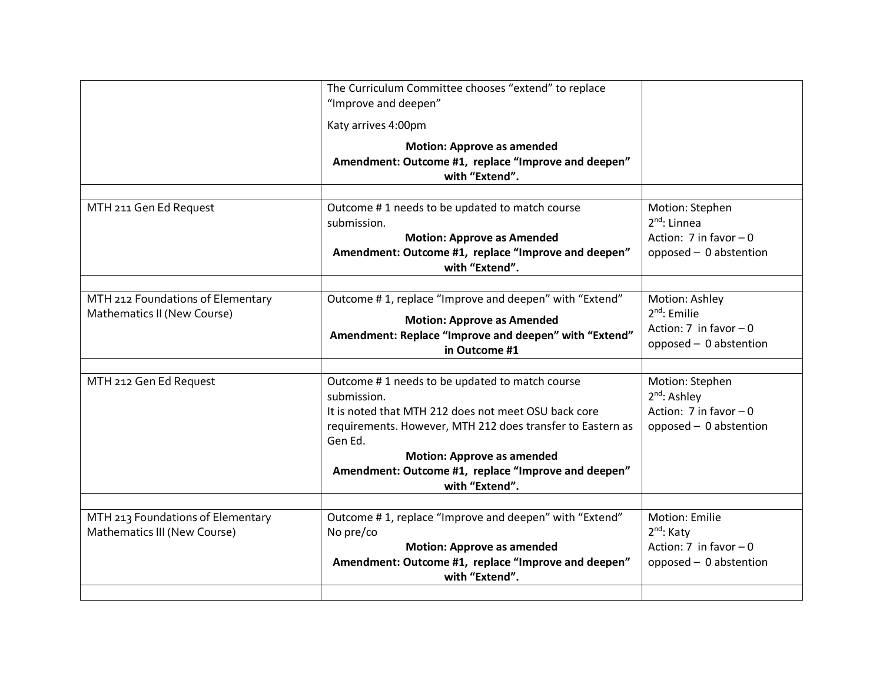| The Curriculum Committee chooses "extend" to replace<br>"Improve and deepen"                                                                                                                                                                                                                                 |                                                                                                        |
|--------------------------------------------------------------------------------------------------------------------------------------------------------------------------------------------------------------------------------------------------------------------------------------------------------------|--------------------------------------------------------------------------------------------------------|
| Katy arrives 4:00pm                                                                                                                                                                                                                                                                                          |                                                                                                        |
| <b>Motion: Approve as amended</b><br>Amendment: Outcome #1, replace "Improve and deepen"<br>with "Extend".                                                                                                                                                                                                   |                                                                                                        |
| Outcome #1 needs to be updated to match course<br>submission.<br><b>Motion: Approve as Amended</b><br>Amendment: Outcome #1, replace "Improve and deepen"<br>with "Extend".                                                                                                                                  | Motion: Stephen<br>$2^{nd}$ : Linnea<br>Action: 7 in favor $-0$<br>opposed - 0 abstention              |
| Outcome #1, replace "Improve and deepen" with "Extend"<br><b>Motion: Approve as Amended</b><br>Amendment: Replace "Improve and deepen" with "Extend"<br>in Outcome #1                                                                                                                                        | Motion: Ashley<br>$2nd$ : Emilie<br>Action: $7$ in favor $-0$<br>opposed - 0 abstention                |
| Outcome #1 needs to be updated to match course<br>submission.<br>It is noted that MTH 212 does not meet OSU back core<br>requirements. However, MTH 212 does transfer to Eastern as<br>Gen Ed.<br><b>Motion: Approve as amended</b><br>Amendment: Outcome #1, replace "Improve and deepen"<br>with "Extend". | Motion: Stephen<br>2 <sup>nd</sup> : Ashley<br>Action: $7$ in favor $-0$<br>opposed - 0 abstention     |
| Outcome #1, replace "Improve and deepen" with "Extend"<br>No pre/co<br><b>Motion: Approve as amended</b><br>Amendment: Outcome #1, replace "Improve and deepen"<br>with "Extend".                                                                                                                            | <b>Motion: Emilie</b><br>2 <sup>nd</sup> : Katy<br>Action: $7$ in favor $-0$<br>opposed - 0 abstention |
|                                                                                                                                                                                                                                                                                                              |                                                                                                        |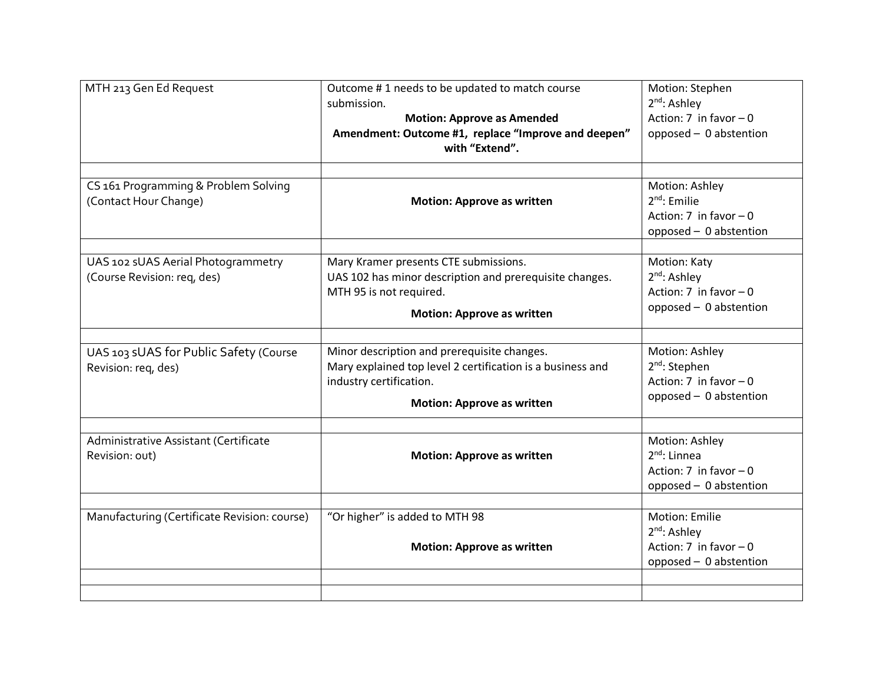| MTH 213 Gen Ed Request                                            | Outcome #1 needs to be updated to match course<br>submission.<br><b>Motion: Approve as Amended</b><br>Amendment: Outcome #1, replace "Improve and deepen"<br>with "Extend". | Motion: Stephen<br>$2nd$ : Ashley<br>Action: $7$ in favor $-0$<br>opposed - 0 abstention           |
|-------------------------------------------------------------------|-----------------------------------------------------------------------------------------------------------------------------------------------------------------------------|----------------------------------------------------------------------------------------------------|
| CS 161 Programming & Problem Solving<br>(Contact Hour Change)     | <b>Motion: Approve as written</b>                                                                                                                                           | Motion: Ashley<br>$2nd$ : Emilie<br>Action: $7$ in favor $-0$<br>opposed - 0 abstention            |
| UAS 102 sUAS Aerial Photogrammetry<br>(Course Revision: req, des) | Mary Kramer presents CTE submissions.<br>UAS 102 has minor description and prerequisite changes.<br>MTH 95 is not required.<br><b>Motion: Approve as written</b>            | Motion: Katy<br>2 <sup>nd</sup> : Ashley<br>Action: $7$ in favor $-0$<br>opposed - 0 abstention    |
| UAS 103 sUAS for Public Safety (Course<br>Revision: req, des)     | Minor description and prerequisite changes.<br>Mary explained top level 2 certification is a business and<br>industry certification.<br><b>Motion: Approve as written</b>   | Motion: Ashley<br>2 <sup>nd</sup> : Stephen<br>Action: $7$ in favor $-0$<br>opposed - 0 abstention |
| Administrative Assistant (Certificate<br>Revision: out)           | <b>Motion: Approve as written</b>                                                                                                                                           | Motion: Ashley<br>$2^{nd}$ : Linnea<br>Action: $7$ in favor $-0$<br>opposed - 0 abstention         |
| Manufacturing (Certificate Revision: course)                      | "Or higher" is added to MTH 98<br><b>Motion: Approve as written</b>                                                                                                         | Motion: Emilie<br>$2nd$ : Ashley<br>Action: $7$ in favor $-0$<br>opposed - 0 abstention            |
|                                                                   |                                                                                                                                                                             |                                                                                                    |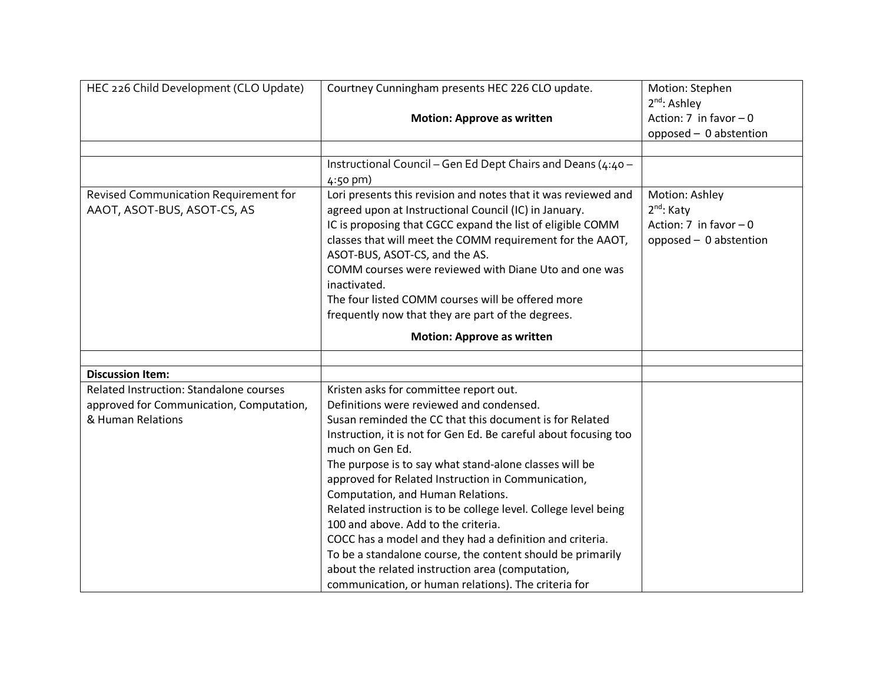| HEC 226 Child Development (CLO Update)   | Courtney Cunningham presents HEC 226 CLO update.                                                                                                                                                                                                                                                                                                                                                                                                                                                                     | Motion: Stephen           |
|------------------------------------------|----------------------------------------------------------------------------------------------------------------------------------------------------------------------------------------------------------------------------------------------------------------------------------------------------------------------------------------------------------------------------------------------------------------------------------------------------------------------------------------------------------------------|---------------------------|
|                                          |                                                                                                                                                                                                                                                                                                                                                                                                                                                                                                                      | $2^{nd}$ : Ashley         |
|                                          | <b>Motion: Approve as written</b>                                                                                                                                                                                                                                                                                                                                                                                                                                                                                    | Action: $7$ in favor $-0$ |
|                                          |                                                                                                                                                                                                                                                                                                                                                                                                                                                                                                                      | opposed - 0 abstention    |
|                                          |                                                                                                                                                                                                                                                                                                                                                                                                                                                                                                                      |                           |
|                                          | Instructional Council - Gen Ed Dept Chairs and Deans (4:40 -<br>$4:50$ pm)                                                                                                                                                                                                                                                                                                                                                                                                                                           |                           |
| Revised Communication Requirement for    | Lori presents this revision and notes that it was reviewed and                                                                                                                                                                                                                                                                                                                                                                                                                                                       | Motion: Ashley            |
| AAOT, ASOT-BUS, ASOT-CS, AS              | agreed upon at Instructional Council (IC) in January.                                                                                                                                                                                                                                                                                                                                                                                                                                                                | 2 <sup>nd</sup> : Katy    |
|                                          | IC is proposing that CGCC expand the list of eligible COMM                                                                                                                                                                                                                                                                                                                                                                                                                                                           | Action: $7$ in favor $-0$ |
|                                          | classes that will meet the COMM requirement for the AAOT,<br>ASOT-BUS, ASOT-CS, and the AS.                                                                                                                                                                                                                                                                                                                                                                                                                          | opposed - 0 abstention    |
|                                          | COMM courses were reviewed with Diane Uto and one was                                                                                                                                                                                                                                                                                                                                                                                                                                                                |                           |
|                                          | inactivated.                                                                                                                                                                                                                                                                                                                                                                                                                                                                                                         |                           |
|                                          | The four listed COMM courses will be offered more                                                                                                                                                                                                                                                                                                                                                                                                                                                                    |                           |
|                                          | frequently now that they are part of the degrees.                                                                                                                                                                                                                                                                                                                                                                                                                                                                    |                           |
|                                          |                                                                                                                                                                                                                                                                                                                                                                                                                                                                                                                      |                           |
|                                          | <b>Motion: Approve as written</b>                                                                                                                                                                                                                                                                                                                                                                                                                                                                                    |                           |
|                                          |                                                                                                                                                                                                                                                                                                                                                                                                                                                                                                                      |                           |
| <b>Discussion Item:</b>                  |                                                                                                                                                                                                                                                                                                                                                                                                                                                                                                                      |                           |
| Related Instruction: Standalone courses  | Kristen asks for committee report out.                                                                                                                                                                                                                                                                                                                                                                                                                                                                               |                           |
| approved for Communication, Computation, | Definitions were reviewed and condensed.                                                                                                                                                                                                                                                                                                                                                                                                                                                                             |                           |
| & Human Relations                        | Susan reminded the CC that this document is for Related                                                                                                                                                                                                                                                                                                                                                                                                                                                              |                           |
|                                          | Instruction, it is not for Gen Ed. Be careful about focusing too                                                                                                                                                                                                                                                                                                                                                                                                                                                     |                           |
|                                          |                                                                                                                                                                                                                                                                                                                                                                                                                                                                                                                      |                           |
|                                          |                                                                                                                                                                                                                                                                                                                                                                                                                                                                                                                      |                           |
|                                          |                                                                                                                                                                                                                                                                                                                                                                                                                                                                                                                      |                           |
|                                          |                                                                                                                                                                                                                                                                                                                                                                                                                                                                                                                      |                           |
|                                          |                                                                                                                                                                                                                                                                                                                                                                                                                                                                                                                      |                           |
|                                          |                                                                                                                                                                                                                                                                                                                                                                                                                                                                                                                      |                           |
|                                          |                                                                                                                                                                                                                                                                                                                                                                                                                                                                                                                      |                           |
|                                          |                                                                                                                                                                                                                                                                                                                                                                                                                                                                                                                      |                           |
|                                          |                                                                                                                                                                                                                                                                                                                                                                                                                                                                                                                      |                           |
|                                          | much on Gen Ed.<br>The purpose is to say what stand-alone classes will be<br>approved for Related Instruction in Communication,<br>Computation, and Human Relations.<br>Related instruction is to be college level. College level being<br>100 and above. Add to the criteria.<br>COCC has a model and they had a definition and criteria.<br>To be a standalone course, the content should be primarily<br>about the related instruction area (computation,<br>communication, or human relations). The criteria for |                           |